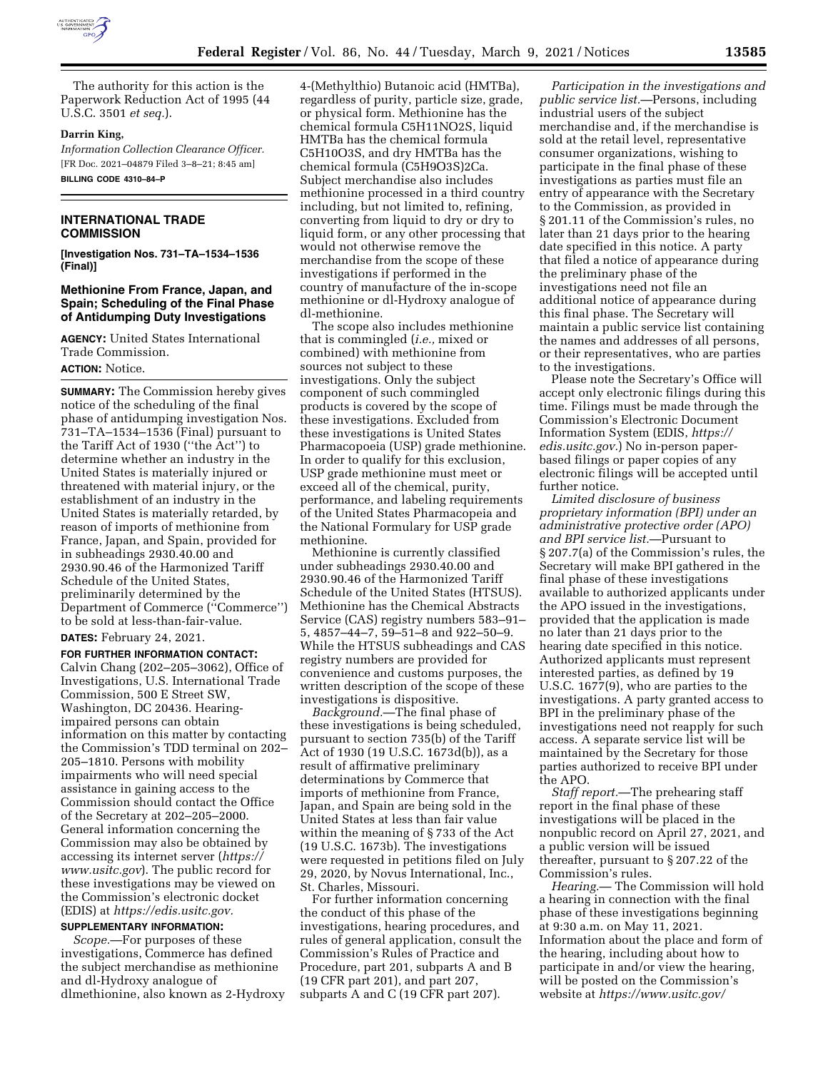

The authority for this action is the Paperwork Reduction Act of 1995 (44 U.S.C. 3501 *et seq.*).

### **Darrin King,**

*Information Collection Clearance Officer.*  [FR Doc. 2021–04879 Filed 3–8–21; 8:45 am] **BILLING CODE 4310–84–P** 

# **INTERNATIONAL TRADE COMMISSION**

**[Investigation Nos. 731–TA–1534–1536 (Final)]** 

# **Methionine From France, Japan, and Spain; Scheduling of the Final Phase of Antidumping Duty Investigations**

**AGENCY:** United States International Trade Commission. **ACTION:** Notice.

**SUMMARY:** The Commission hereby gives notice of the scheduling of the final phase of antidumping investigation Nos. 731–TA–1534–1536 (Final) pursuant to the Tariff Act of 1930 (''the Act'') to determine whether an industry in the United States is materially injured or threatened with material injury, or the establishment of an industry in the United States is materially retarded, by reason of imports of methionine from France, Japan, and Spain, provided for in subheadings 2930.40.00 and 2930.90.46 of the Harmonized Tariff Schedule of the United States, preliminarily determined by the Department of Commerce (''Commerce'') to be sold at less-than-fair-value.

**DATES:** February 24, 2021.

**FOR FURTHER INFORMATION CONTACT:**  Calvin Chang (202–205–3062), Office of Investigations, U.S. International Trade Commission, 500 E Street SW, Washington, DC 20436. Hearingimpaired persons can obtain information on this matter by contacting the Commission's TDD terminal on 202– 205–1810. Persons with mobility impairments who will need special assistance in gaining access to the Commission should contact the Office of the Secretary at 202–205–2000. General information concerning the Commission may also be obtained by accessing its internet server (*[https://](https://www.usitc.gov) [www.usitc.gov](https://www.usitc.gov)*). The public record for these investigations may be viewed on the Commission's electronic docket (EDIS) at *[https://edis.usitc.gov.](https://edis.usitc.gov)* 

# **SUPPLEMENTARY INFORMATION:**

*Scope.*—For purposes of these investigations, Commerce has defined the subject merchandise as methionine and dl-Hydroxy analogue of dlmethionine, also known as 2-Hydroxy

4-(Methylthio) Butanoic acid (HMTBa), regardless of purity, particle size, grade, or physical form. Methionine has the chemical formula C5H11NO2S, liquid HMTBa has the chemical formula C5H10O3S, and dry HMTBa has the chemical formula (C5H9O3S)2Ca. Subject merchandise also includes methionine processed in a third country including, but not limited to, refining, converting from liquid to dry or dry to liquid form, or any other processing that would not otherwise remove the merchandise from the scope of these investigations if performed in the country of manufacture of the in-scope methionine or dl-Hydroxy analogue of dl-methionine.

The scope also includes methionine that is commingled (*i.e.,* mixed or combined) with methionine from sources not subject to these investigations. Only the subject component of such commingled products is covered by the scope of these investigations. Excluded from these investigations is United States Pharmacopoeia (USP) grade methionine. In order to qualify for this exclusion, USP grade methionine must meet or exceed all of the chemical, purity, performance, and labeling requirements of the United States Pharmacopeia and the National Formulary for USP grade methionine.

Methionine is currently classified under subheadings 2930.40.00 and 2930.90.46 of the Harmonized Tariff Schedule of the United States (HTSUS). Methionine has the Chemical Abstracts Service (CAS) registry numbers 583–91– 5, 4857–44–7, 59–51–8 and 922–50–9. While the HTSUS subheadings and CAS registry numbers are provided for convenience and customs purposes, the written description of the scope of these investigations is dispositive.

*Background.*—The final phase of these investigations is being scheduled, pursuant to section 735(b) of the Tariff Act of 1930 (19 U.S.C. 1673d(b)), as a result of affirmative preliminary determinations by Commerce that imports of methionine from France, Japan, and Spain are being sold in the United States at less than fair value within the meaning of § 733 of the Act (19 U.S.C. 1673b). The investigations were requested in petitions filed on July 29, 2020, by Novus International, Inc., St. Charles, Missouri.

For further information concerning the conduct of this phase of the investigations, hearing procedures, and rules of general application, consult the Commission's Rules of Practice and Procedure, part 201, subparts A and B (19 CFR part 201), and part 207, subparts A and C (19 CFR part 207).

*Participation in the investigations and public service list.*—Persons, including industrial users of the subject merchandise and, if the merchandise is sold at the retail level, representative consumer organizations, wishing to participate in the final phase of these investigations as parties must file an entry of appearance with the Secretary to the Commission, as provided in § 201.11 of the Commission's rules, no later than 21 days prior to the hearing date specified in this notice. A party that filed a notice of appearance during the preliminary phase of the investigations need not file an additional notice of appearance during this final phase. The Secretary will maintain a public service list containing the names and addresses of all persons, or their representatives, who are parties to the investigations.

Please note the Secretary's Office will accept only electronic filings during this time. Filings must be made through the Commission's Electronic Document Information System (EDIS, *[https://](https://edis.usitc.gov) [edis.usitc.gov.](https://edis.usitc.gov)*) No in-person paperbased filings or paper copies of any electronic filings will be accepted until further notice.

*Limited disclosure of business proprietary information (BPI) under an administrative protective order (APO) and BPI service list.*—Pursuant to § 207.7(a) of the Commission's rules, the Secretary will make BPI gathered in the final phase of these investigations available to authorized applicants under the APO issued in the investigations, provided that the application is made no later than 21 days prior to the hearing date specified in this notice. Authorized applicants must represent interested parties, as defined by 19 U.S.C. 1677(9), who are parties to the investigations. A party granted access to BPI in the preliminary phase of the investigations need not reapply for such access. A separate service list will be maintained by the Secretary for those parties authorized to receive BPI under the APO.

*Staff report.*—The prehearing staff report in the final phase of these investigations will be placed in the nonpublic record on April 27, 2021, and a public version will be issued thereafter, pursuant to § 207.22 of the Commission's rules.

*Hearing.*— The Commission will hold a hearing in connection with the final phase of these investigations beginning at 9:30 a.m. on May 11, 2021. Information about the place and form of the hearing, including about how to participate in and/or view the hearing, will be posted on the Commission's website at *[https://www.usitc.gov/](https://www.usitc.gov/calendarpad/calendar.html)*